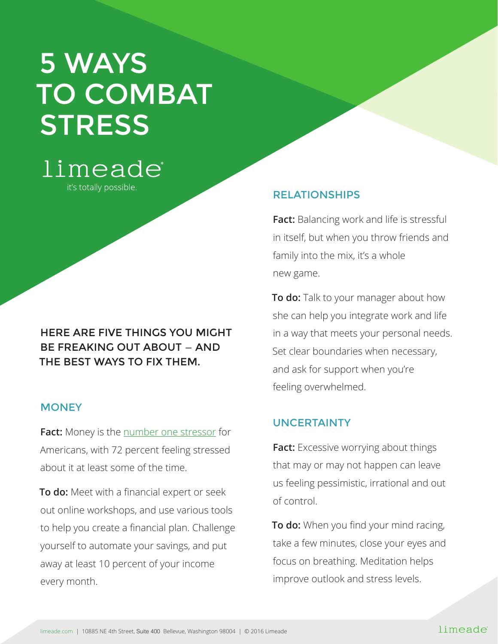# 5 WAYS TO COMBAT **STRESS**

## limeade®

it's totally possible.

### HERE ARE FIVE THINGS YOU MIGHT BE FREAKING OUT ABOUT — AND THE BEST WAYS TO FIX THEM.

#### **MONEY**

**Fact:** Money is the [number one stressor](http://www.apa.org/news/press/releases/stress/2014/stress-report.pdf) for Americans, with 72 percent feeling stressed about it at least some of the time.

**To do:** Meet with a financial expert or seek out online workshops, and use various tools to help you create a financial plan. Challenge yourself to automate your savings, and put away at least 10 percent of your income every month.

#### RELATIONSHIPS

**Fact:** Balancing work and life is stressful in itself, but when you throw friends and family into the mix, it's a whole new game.

**To do:** Talk to your manager about how she can help you integrate work and life in a way that meets your personal needs. Set clear boundaries when necessary, and ask for support when you're feeling overwhelmed.

#### UNCERTAINTY

**Fact:** Excessive worrying about things that may or may not happen can leave us feeling pessimistic, irrational and out of control.

**To do:** When you find your mind racing, take a few minutes, close your eyes and focus on breathing. Meditation helps improve outlook and stress levels.

#### limeade